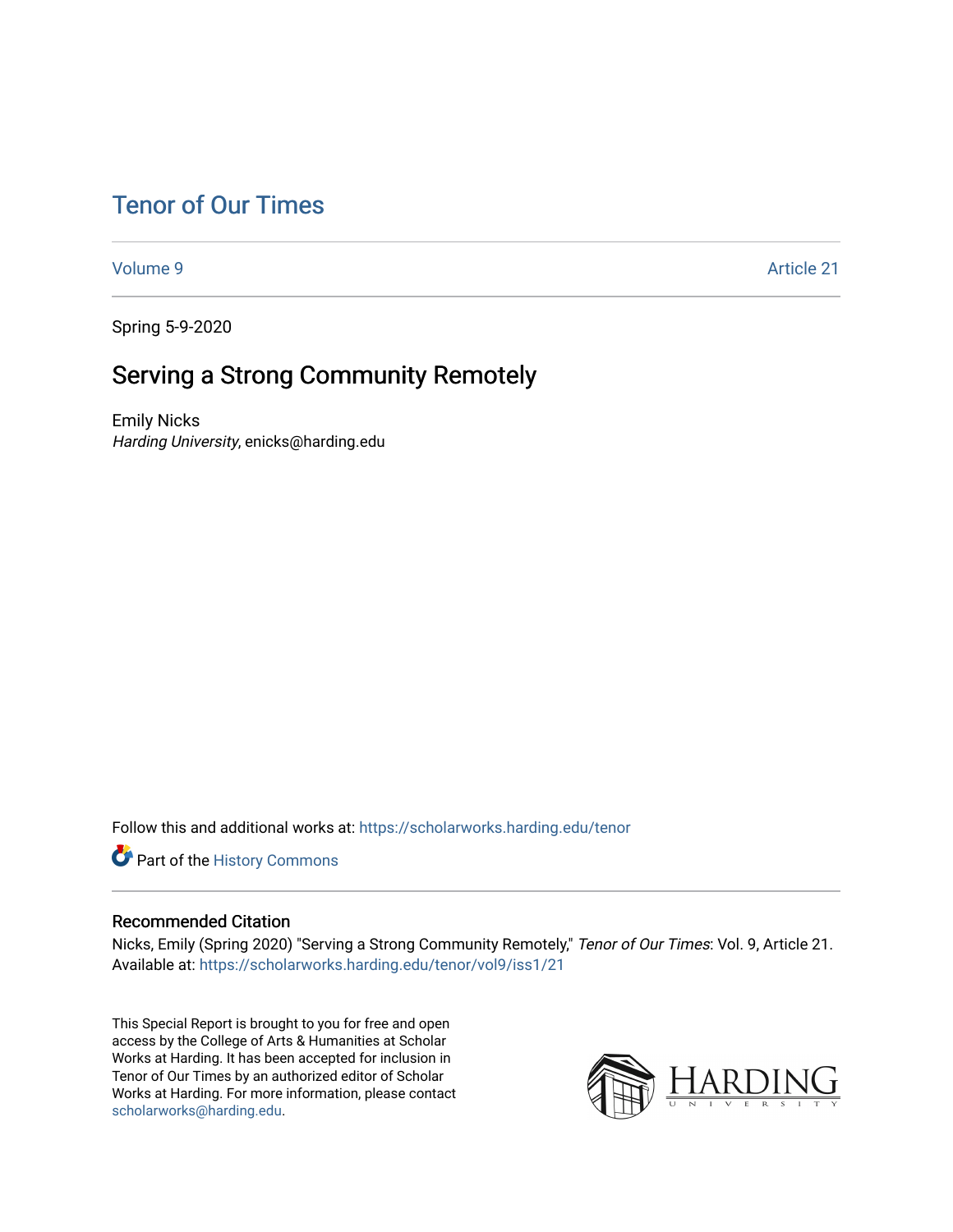# [Tenor of Our Times](https://scholarworks.harding.edu/tenor)

[Volume 9](https://scholarworks.harding.edu/tenor/vol9) [Article 21](https://scholarworks.harding.edu/tenor/vol9/iss1/21) 

Spring 5-9-2020

# Serving a Strong Community Remotely

Emily Nicks Harding University, enicks@harding.edu

Follow this and additional works at: [https://scholarworks.harding.edu/tenor](https://scholarworks.harding.edu/tenor?utm_source=scholarworks.harding.edu%2Ftenor%2Fvol9%2Fiss1%2F21&utm_medium=PDF&utm_campaign=PDFCoverPages)

Part of the [History Commons](http://network.bepress.com/hgg/discipline/489?utm_source=scholarworks.harding.edu%2Ftenor%2Fvol9%2Fiss1%2F21&utm_medium=PDF&utm_campaign=PDFCoverPages) 

### Recommended Citation

Nicks, Emily (Spring 2020) "Serving a Strong Community Remotely," Tenor of Our Times: Vol. 9, Article 21. Available at: [https://scholarworks.harding.edu/tenor/vol9/iss1/21](https://scholarworks.harding.edu/tenor/vol9/iss1/21?utm_source=scholarworks.harding.edu%2Ftenor%2Fvol9%2Fiss1%2F21&utm_medium=PDF&utm_campaign=PDFCoverPages)

This Special Report is brought to you for free and open access by the College of Arts & Humanities at Scholar Works at Harding. It has been accepted for inclusion in Tenor of Our Times by an authorized editor of Scholar Works at Harding. For more information, please contact [scholarworks@harding.edu](mailto:scholarworks@harding.edu).

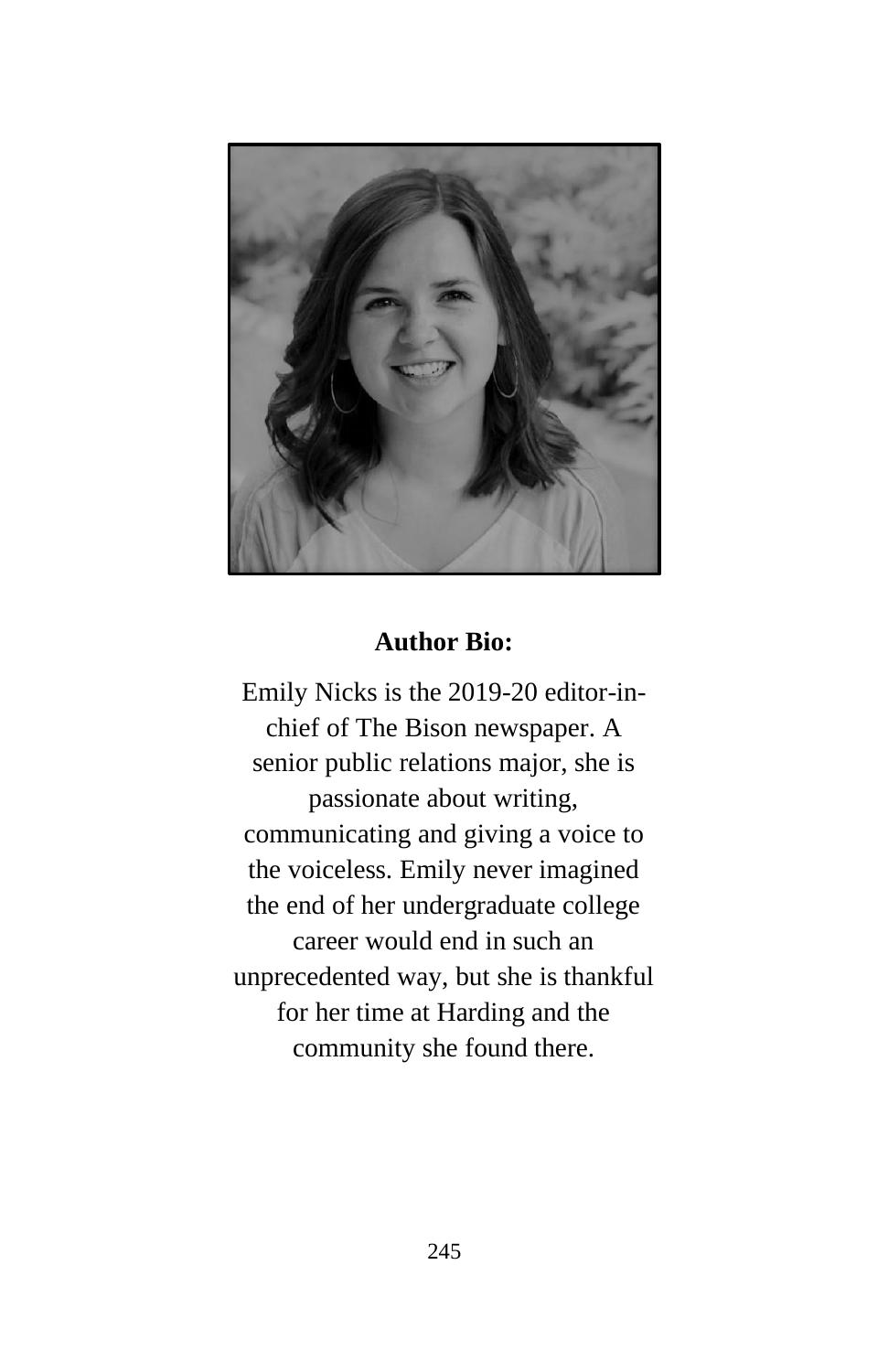

# **Author Bio:**

Emily Nicks is the 2019-20 editor-inchief of The Bison newspaper. A senior public relations major, she is passionate about writing, communicating and giving a voice to the voiceless. Emily never imagined the end of her undergraduate college career would end in such an unprecedented way, but she is thankful for her time at Harding and the community she found there.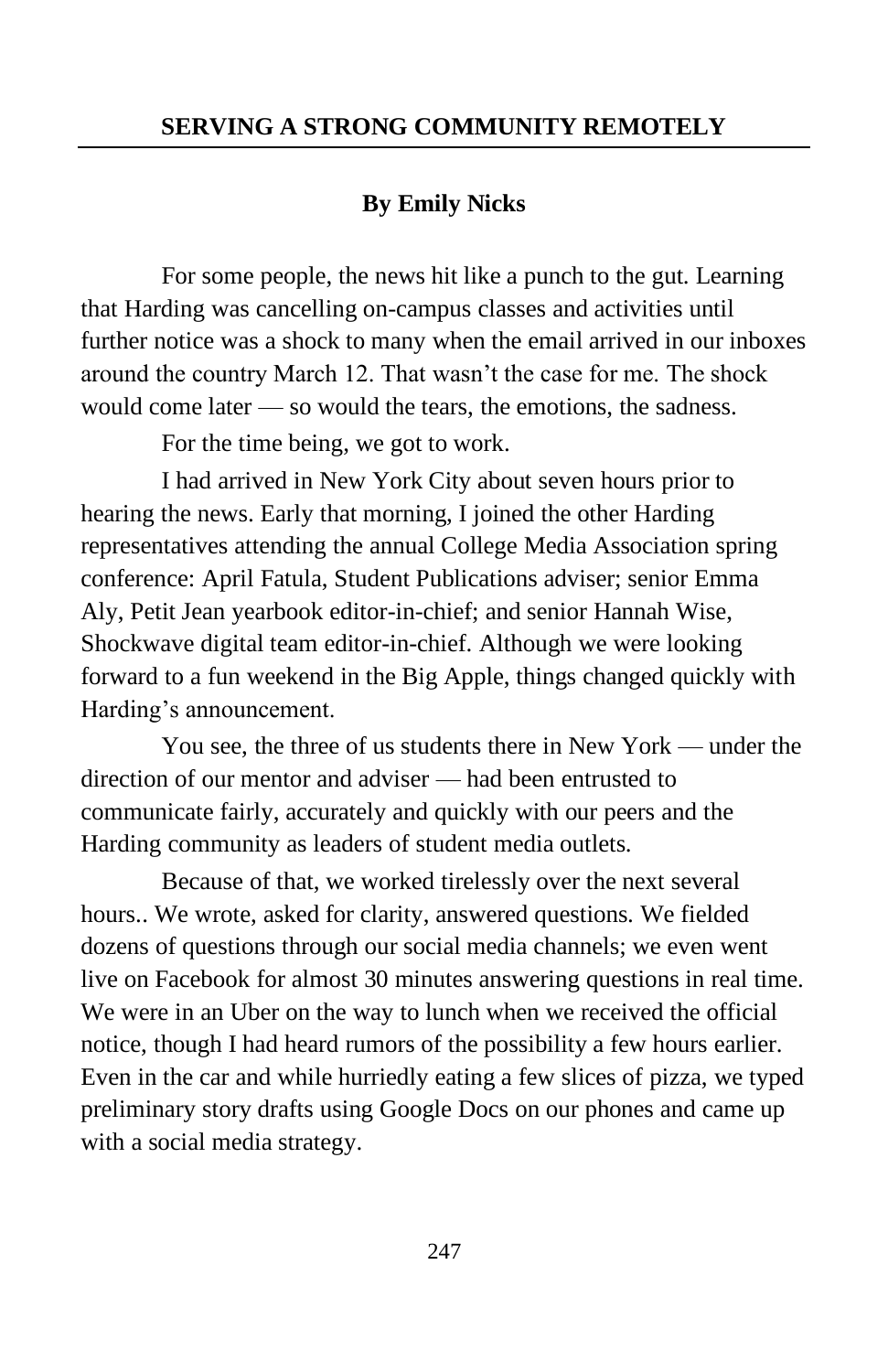#### **SERVING A STRONG COMMUNITY REMOTELY**

## **By Emily Nicks**

For some people, the news hit like a punch to the gut. Learning that Harding was cancelling on-campus classes and activities until further notice was a shock to many when the email arrived in our inboxes around the country March 12. That wasn't the case for me. The shock would come later — so would the tears, the emotions, the sadness.

For the time being, we got to work.

I had arrived in New York City about seven hours prior to hearing the news. Early that morning, I joined the other Harding representatives attending the annual College Media Association spring conference: April Fatula, Student Publications adviser; senior Emma Aly, Petit Jean yearbook editor-in-chief; and senior Hannah Wise, Shockwave digital team editor-in-chief. Although we were looking forward to a fun weekend in the Big Apple, things changed quickly with Harding's announcement.

You see, the three of us students there in New York — under the direction of our mentor and adviser — had been entrusted to communicate fairly, accurately and quickly with our peers and the Harding community as leaders of student media outlets.

Because of that, we worked tirelessly over the next several hours.. We wrote, asked for clarity, answered questions. We fielded dozens of questions through our social media channels; we even went live on Facebook for almost 30 minutes answering questions in real time. We were in an Uber on the way to lunch when we received the official notice, though I had heard rumors of the possibility a few hours earlier. Even in the car and while hurriedly eating a few slices of pizza, we typed preliminary story drafts using Google Docs on our phones and came up with a social media strategy.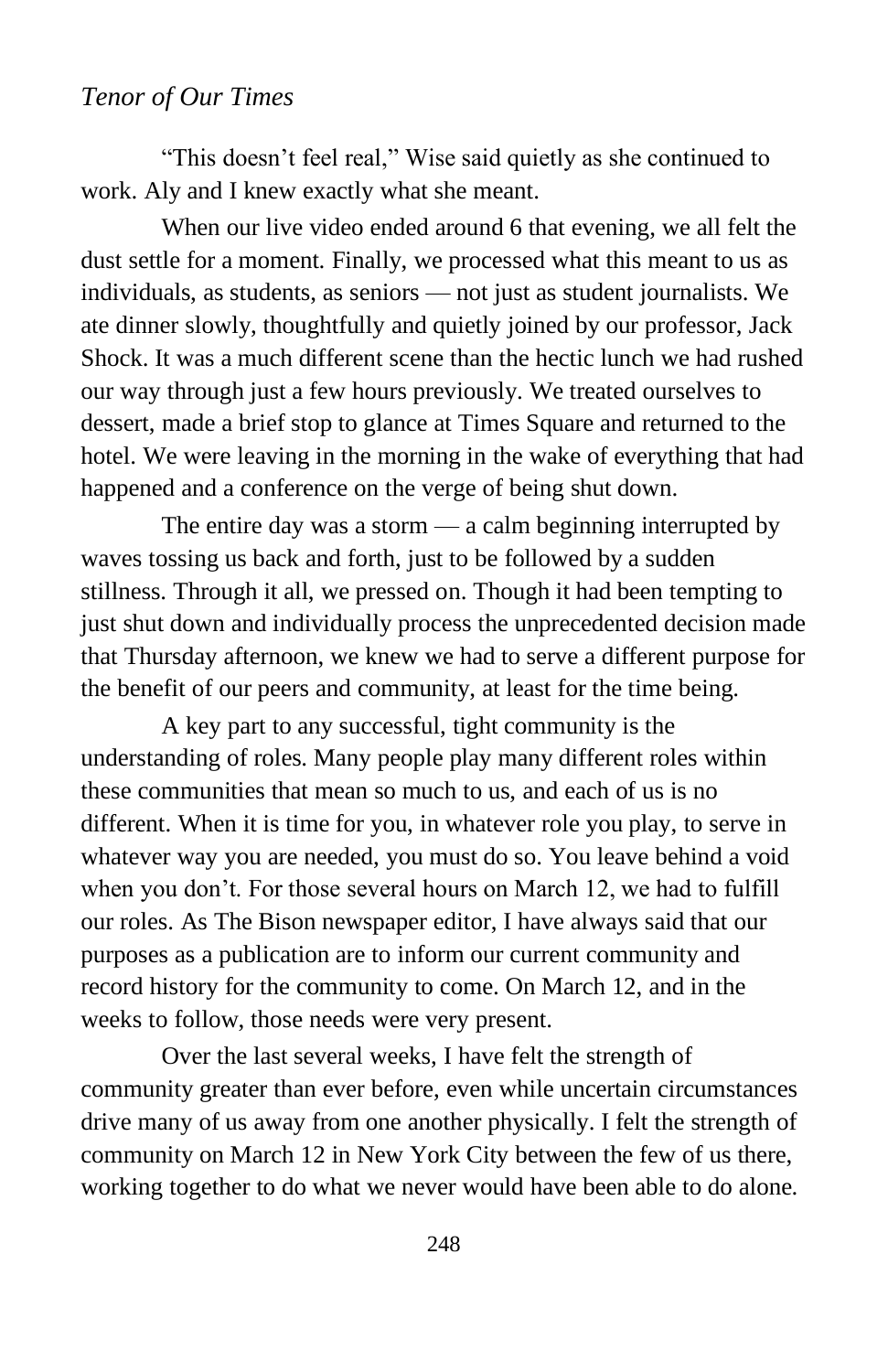## *Tenor of Our Times*

"This doesn't feel real," Wise said quietly as she continued to work. Aly and I knew exactly what she meant.

When our live video ended around 6 that evening, we all felt the dust settle for a moment. Finally, we processed what this meant to us as individuals, as students, as seniors — not just as student journalists. We ate dinner slowly, thoughtfully and quietly joined by our professor, Jack Shock. It was a much different scene than the hectic lunch we had rushed our way through just a few hours previously. We treated ourselves to dessert, made a brief stop to glance at Times Square and returned to the hotel. We were leaving in the morning in the wake of everything that had happened and a conference on the verge of being shut down.

The entire day was a storm — a calm beginning interrupted by waves tossing us back and forth, just to be followed by a sudden stillness. Through it all, we pressed on. Though it had been tempting to just shut down and individually process the unprecedented decision made that Thursday afternoon, we knew we had to serve a different purpose for the benefit of our peers and community, at least for the time being.

A key part to any successful, tight community is the understanding of roles. Many people play many different roles within these communities that mean so much to us, and each of us is no different. When it is time for you, in whatever role you play, to serve in whatever way you are needed, you must do so. You leave behind a void when you don't. For those several hours on March 12, we had to fulfill our roles. As The Bison newspaper editor, I have always said that our purposes as a publication are to inform our current community and record history for the community to come. On March 12, and in the weeks to follow, those needs were very present.

Over the last several weeks, I have felt the strength of community greater than ever before, even while uncertain circumstances drive many of us away from one another physically. I felt the strength of community on March 12 in New York City between the few of us there, working together to do what we never would have been able to do alone.